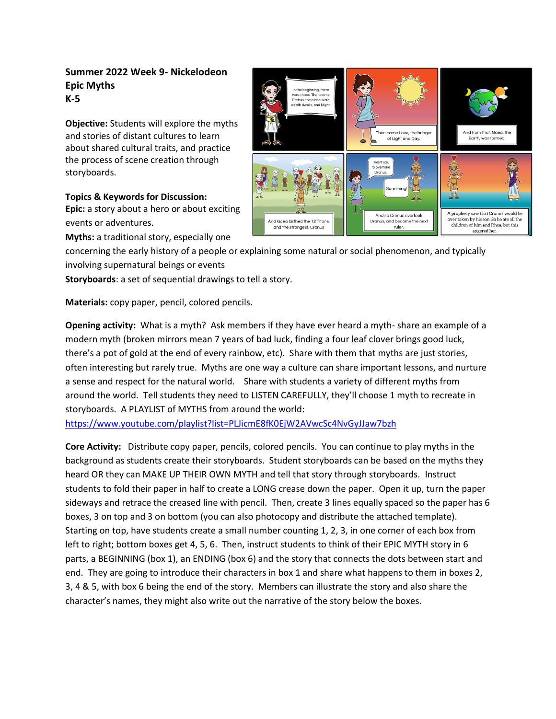## **Summer 2022 Week 9- Nickelodeon Epic Myths K-5**

**Objective:** Students will explore the myths and stories of distant cultures to learn about shared cultural traits, and practice the process of scene creation through storyboards.

## **Topics & Keywords for Discussion:**

**Epic:** a story about a hero or about exciting events or adventures.

**Myths:** a traditional story, especially one



concerning the early history of a people or explaining some natural or social phenomenon, and typically involving supernatural beings or events

**Storyboards**: a set of sequential drawings to tell a story.

**Materials:** copy paper, pencil, colored pencils.

**Opening activity:** What is a myth? Ask members if they have ever heard a myth- share an example of a modern myth (broken mirrors mean 7 years of bad luck, finding a four leaf clover brings good luck, there's a pot of gold at the end of every rainbow, etc). Share with them that myths are just stories, often interesting but rarely true. Myths are one way a culture can share important lessons, and nurture a sense and respect for the natural world. Share with students a variety of different myths from around the world. Tell students they need to LISTEN CAREFULLY, they'll choose 1 myth to recreate in storyboards. A PLAYLIST of MYTHS from around the world:

<https://www.youtube.com/playlist?list=PLJicmE8fK0EjW2AVwcSc4NvGyJJaw7bzh>

**Core Activity:** Distribute copy paper, pencils, colored pencils. You can continue to play myths in the background as students create their storyboards. Student storyboards can be based on the myths they heard OR they can MAKE UP THEIR OWN MYTH and tell that story through storyboards. Instruct students to fold their paper in half to create a LONG crease down the paper. Open it up, turn the paper sideways and retrace the creased line with pencil. Then, create 3 lines equally spaced so the paper has 6 boxes, 3 on top and 3 on bottom (you can also photocopy and distribute the attached template). Starting on top, have students create a small number counting 1, 2, 3, in one corner of each box from left to right; bottom boxes get 4, 5, 6. Then, instruct students to think of their EPIC MYTH story in 6 parts, a BEGINNING (box 1), an ENDING (box 6) and the story that connects the dots between start and end. They are going to introduce their characters in box 1 and share what happens to them in boxes 2, 3, 4 & 5, with box 6 being the end of the story. Members can illustrate the story and also share the character's names, they might also write out the narrative of the story below the boxes.